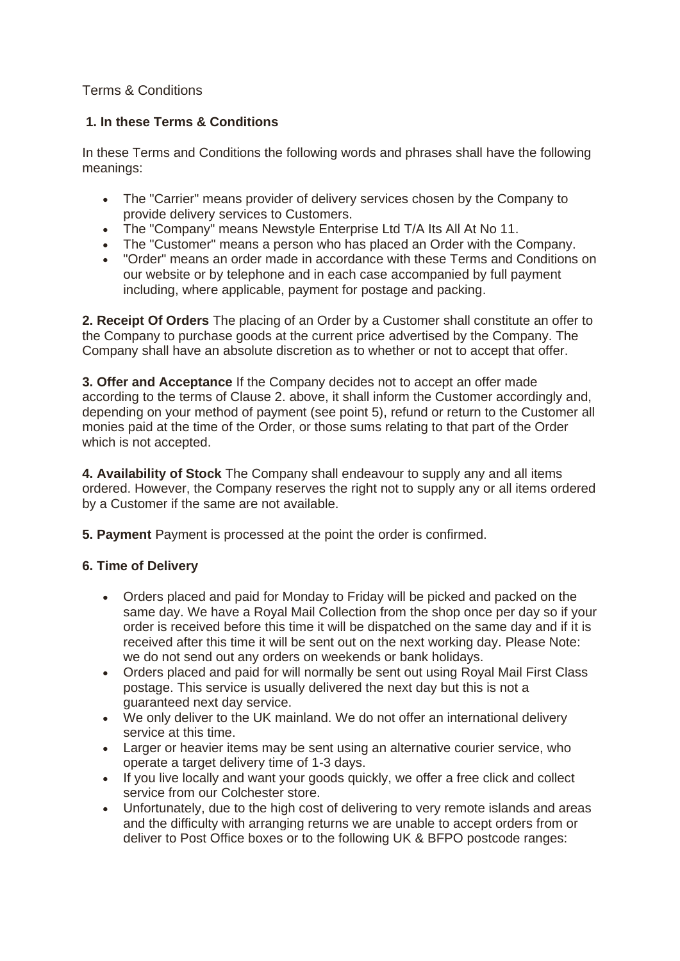# Terms & Conditions

# **1. In these Terms & Conditions**

In these Terms and Conditions the following words and phrases shall have the following meanings:

- The "Carrier" means provider of delivery services chosen by the Company to provide delivery services to Customers.
- The "Company" means Newstyle Enterprise Ltd T/A Its All At No 11.
- The "Customer" means a person who has placed an Order with the Company.
- "Order" means an order made in accordance with these Terms and Conditions on our website or by telephone and in each case accompanied by full payment including, where applicable, payment for postage and packing.

**2. Receipt Of Orders** The placing of an Order by a Customer shall constitute an offer to the Company to purchase goods at the current price advertised by the Company. The Company shall have an absolute discretion as to whether or not to accept that offer.

**3. Offer and Acceptance** If the Company decides not to accept an offer made according to the terms of Clause 2. above, it shall inform the Customer accordingly and, depending on your method of payment (see point 5), refund or return to the Customer all monies paid at the time of the Order, or those sums relating to that part of the Order which is not accepted.

**4. Availability of Stock** The Company shall endeavour to supply any and all items ordered. However, the Company reserves the right not to supply any or all items ordered by a Customer if the same are not available.

**5. Payment** Payment is processed at the point the order is confirmed.

## **6. Time of Delivery**

- Orders placed and paid for Monday to Friday will be picked and packed on the same day. We have a Royal Mail Collection from the shop once per day so if your order is received before this time it will be dispatched on the same day and if it is received after this time it will be sent out on the next working day. Please Note: we do not send out any orders on weekends or bank holidays.
- Orders placed and paid for will normally be sent out using Royal Mail First Class postage. This service is usually delivered the next day but this is not a guaranteed next day service.
- We only deliver to the UK mainland. We do not offer an international delivery service at this time.
- Larger or heavier items may be sent using an alternative courier service, who operate a target delivery time of 1-3 days.
- If you live locally and want your goods quickly, we offer a free click and collect service from our Colchester store.
- Unfortunately, due to the high cost of delivering to very remote islands and areas and the difficulty with arranging returns we are unable to accept orders from or deliver to Post Office boxes or to the following UK & BFPO postcode ranges: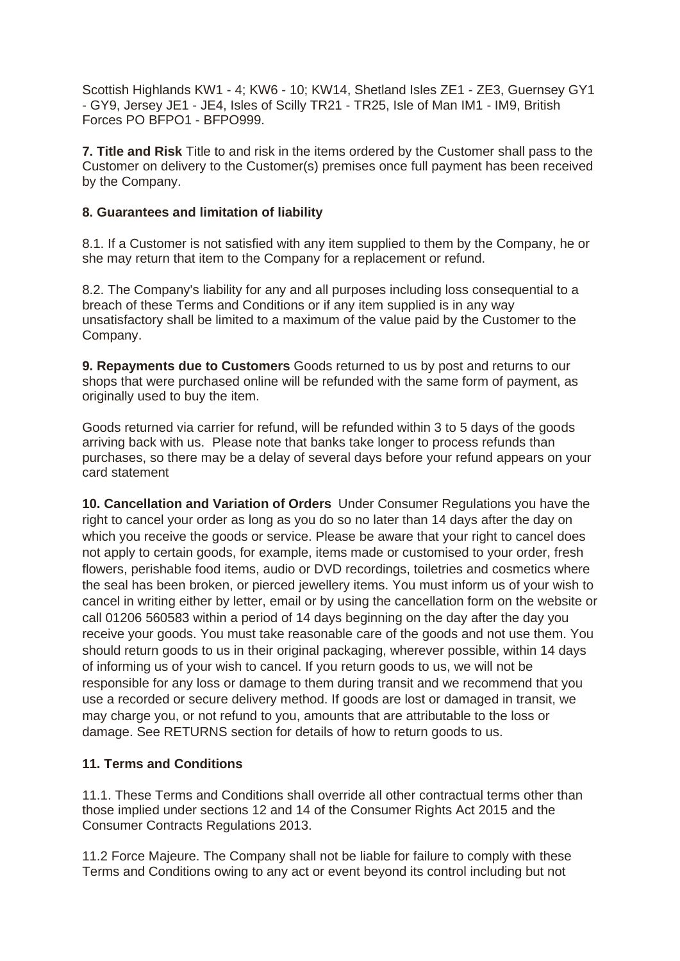Scottish Highlands KW1 - 4; KW6 - 10; KW14, Shetland Isles ZE1 - ZE3, Guernsey GY1 - GY9, Jersey JE1 - JE4, Isles of Scilly TR21 - TR25, Isle of Man IM1 - IM9, British Forces PO BFPO1 - BFPO999.

**7. Title and Risk** Title to and risk in the items ordered by the Customer shall pass to the Customer on delivery to the Customer(s) premises once full payment has been received by the Company.

### **8. Guarantees and limitation of liability**

8.1. If a Customer is not satisfied with any item supplied to them by the Company, he or she may return that item to the Company for a replacement or refund.

8.2. The Company's liability for any and all purposes including loss consequential to a breach of these Terms and Conditions or if any item supplied is in any way unsatisfactory shall be limited to a maximum of the value paid by the Customer to the Company.

**9. Repayments due to Customers** Goods returned to us by post and returns to our shops that were purchased online will be refunded with the same form of payment, as originally used to buy the item.

Goods returned via carrier for refund, will be refunded within 3 to 5 days of the goods arriving back with us. Please note that banks take longer to process refunds than purchases, so there may be a delay of several days before your refund appears on your card statement

**10. Cancellation and Variation of Orders** Under Consumer Regulations you have the right to cancel your order as long as you do so no later than 14 days after the day on which you receive the goods or service. Please be aware that your right to cancel does not apply to certain goods, for example, items made or customised to your order, fresh flowers, perishable food items, audio or DVD recordings, toiletries and cosmetics where the seal has been broken, or pierced jewellery items. You must inform us of your wish to cancel in writing either by letter, email or by using the cancellation form on the website or call 01206 560583 within a period of 14 days beginning on the day after the day you receive your goods. You must take reasonable care of the goods and not use them. You should return goods to us in their original packaging, wherever possible, within 14 days of informing us of your wish to cancel. If you return goods to us, we will not be responsible for any loss or damage to them during transit and we recommend that you use a recorded or secure delivery method. If goods are lost or damaged in transit, we may charge you, or not refund to you, amounts that are attributable to the loss or damage. See RETURNS section for details of how to return goods to us.

#### **11. Terms and Conditions**

11.1. These Terms and Conditions shall override all other contractual terms other than those implied under sections 12 and 14 of the Consumer Rights Act 2015 and the Consumer Contracts Regulations 2013.

11.2 Force Majeure. The Company shall not be liable for failure to comply with these Terms and Conditions owing to any act or event beyond its control including but not